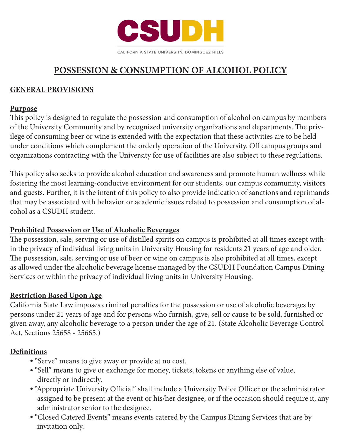

# **POSSESSION & CONSUMPTION OF ALCOHOL POLICY**

## **GENERAL PROVISIONS**

#### **Purpose**

This policy is designed to regulate the possession and consumption of alcohol on campus by members of the University Community and by recognized university organizations and departments. The privilege of consuming beer or wine is extended with the expectation that these activities are to be held under conditions which complement the orderly operation of the University. Off campus groups and organizations contracting with the University for use of facilities are also subject to these regulations.

This policy also seeks to provide alcohol education and awareness and promote human wellness while fostering the most learning-conducive environment for our students, our campus community, visitors and guests. Further, it is the intent of this policy to also provide indication of sanctions and reprimands that may be associated with behavior or academic issues related to possession and consumption of alcohol as a CSUDH student.

#### **Prohibited Possession or Use of Alcoholic Beverages**

The possession, sale, serving or use of distilled spirits on campus is prohibited at all times except within the privacy of individual living units in University Housing for residents 21 years of age and older. The possession, sale, serving or use of beer or wine on campus is also prohibited at all times, except as allowed under the alcoholic beverage license managed by the CSUDH Foundation Campus Dining Services or within the privacy of individual living units in University Housing.

#### **Restriction Based Upon Age**

California State Law imposes criminal penalties for the possession or use of alcoholic beverages by persons under 21 years of age and for persons who furnish, give, sell or cause to be sold, furnished or given away, any alcoholic beverage to a person under the age of 21. (State Alcoholic Beverage Control Act, Sections 25658 - 25665.)

#### **Definitions**

- "Serve" means to give away or provide at no cost.
- "Sell" means to give or exchange for money, tickets, tokens or anything else of value, directly or indirectly.
- <sup>l</sup> "Appropriate University Official" shall include a University Police Officer or the administrator assigned to be present at the event or his/her designee, or if the occasion should require it, any administrator senior to the designee.
- "Closed Catered Events" means events catered by the Campus Dining Services that are by invitation only.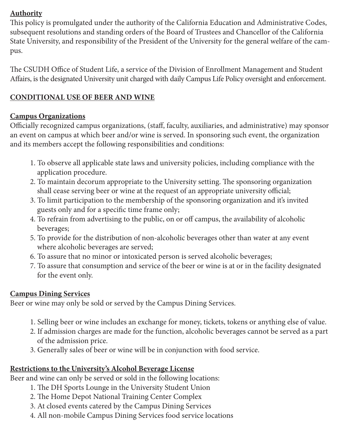# **Authority**

This policy is promulgated under the authority of the California Education and Administrative Codes, subsequent resolutions and standing orders of the Board of Trustees and Chancellor of the California State University, and responsibility of the President of the University for the general welfare of the campus.

The CSUDH Office of Student Life, a service of the Division of Enrollment Management and Student Affairs, is the designated University unit charged with daily Campus Life Policy oversight and enforcement.

## **CONDITIONAL USE OF BEER AND WINE**

# **Campus Organizations**

Officially recognized campus organizations, (staff, faculty, auxiliaries, and administrative) may sponsor an event on campus at which beer and/or wine is served. In sponsoring such event, the organization and its members accept the following responsibilities and conditions:

- 1. To observe all applicable state laws and university policies, including compliance with the application procedure.
- 2. To maintain decorum appropriate to the University setting. The sponsoring organization shall cease serving beer or wine at the request of an appropriate university official;
- 3. To limit participation to the membership of the sponsoring organization and it's invited guests only and for a specific time frame only;
- 4. To refrain from advertising to the public, on or off campus, the availability of alcoholic beverages;
- 5. To provide for the distribution of non-alcoholic beverages other than water at any event where alcoholic beverages are served;
- 6. To assure that no minor or intoxicated person is served alcoholic beverages;
- 7. To assure that consumption and service of the beer or wine is at or in the facility designated for the event only.

#### **Campus Dining Services**

Beer or wine may only be sold or served by the Campus Dining Services.

- 1. Selling beer or wine includes an exchange for money, tickets, tokens or anything else of value.
- 2. If admission charges are made for the function, alcoholic beverages cannot be served as a part of the admission price.
- 3. Generally sales of beer or wine will be in conjunction with food service.

# **Restrictions to the University's Alcohol Beverage License**

Beer and wine can only be served or sold in the following locations:

- 1. The DH Sports Lounge in the University Student Union
- 2. The Home Depot National Training Center Complex
- 3. At closed events catered by the Campus Dining Services
- 4. All non-mobile Campus Dining Services food service locations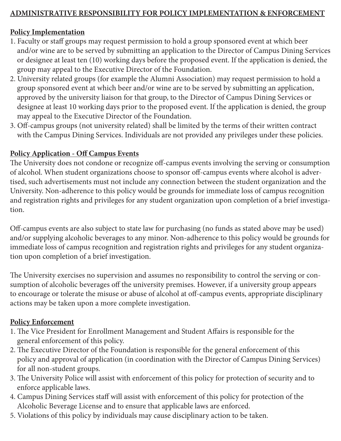# **ADMINISTRATIVE RESPONSIBILITY FOR POLICY IMPLEMENTATION & ENFORCEMENT**

## **Policy Implementation**

- 1. Faculty or staff groups may request permission to hold a group sponsored event at which beer and/or wine are to be served by submitting an application to the Director of Campus Dining Services or designee at least ten (10) working days before the proposed event. If the application is denied, the group may appeal to the Executive Director of the Foundation.
- 2. University related groups (for example the Alumni Association) may request permission to hold a group sponsored event at which beer and/or wine are to be served by submitting an application, approved by the university liaison for that group, to the Director of Campus Dining Services or designee at least 10 working days prior to the proposed event. If the application is denied, the group may appeal to the Executive Director of the Foundation.
- 3. Off-campus groups (not university related) shall be limited by the terms of their written contract with the Campus Dining Services. Individuals are not provided any privileges under these policies.

#### **Policy Application - Off Campus Events**

The University does not condone or recognize off-campus events involving the serving or consumption of alcohol. When student organizations choose to sponsor off-campus events where alcohol is advertised, such advertisements must not include any connection between the student organization and the University. Non-adherence to this policy would be grounds for immediate loss of campus recognition and registration rights and privileges for any student organization upon completion of a brief investigation.

Off-campus events are also subject to state law for purchasing (no funds as stated above may be used) and/or supplying alcoholic beverages to any minor. Non-adherence to this policy would be grounds for immediate loss of campus recognition and registration rights and privileges for any student organization upon completion of a brief investigation.

The University exercises no supervision and assumes no responsibility to control the serving or consumption of alcoholic beverages off the university premises. However, if a university group appears to encourage or tolerate the misuse or abuse of alcohol at off-campus events, appropriate disciplinary actions may be taken upon a more complete investigation.

#### **Policy Enforcement**

- 1. The Vice President for Enrollment Management and Student Affairs is responsible for the general enforcement of this policy.
- 2. The Executive Director of the Foundation is responsible for the general enforcement of this policy and approval of application (in coordination with the Director of Campus Dining Services) for all non-student groups.
- 3. The University Police will assist with enforcement of this policy for protection of security and to enforce applicable laws.
- 4. Campus Dining Services staff will assist with enforcement of this policy for protection of the Alcoholic Beverage License and to ensure that applicable laws are enforced.
- 5. Violations of this policy by individuals may cause disciplinary action to be taken.